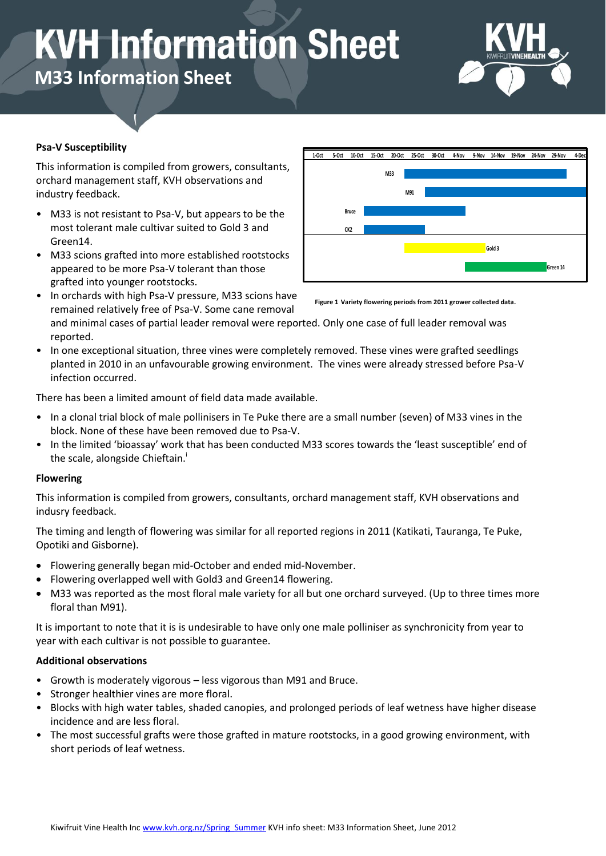# **KVH Information Sheet**

**M33 Information Sheet**



## **Psa-V Susceptibility**

This information is compiled from growers, consultants, orchard management staff, KVH observations and industry feedback.

- M33 is not resistant to Psa-V, but appears to be the most tolerant male cultivar suited to Gold 3 and Green14.
- M33 scions grafted into more established rootstocks appeared to be more Psa-V tolerant than those grafted into younger rootstocks.
- **1-Oct 5-Oct 10-Oct 15-Oct 20-Oct 25-Oct 30-Oct 4-Nov 9-Nov 14-Nov 19-Nov 24-Nov 29-Nov 4-Dec M33 M91 Bruce CK2 Gold 3 Green 14**
- In orchards with high Psa-V pressure, M33 scions have remained relatively free of Psa-V. Some cane removal

**Figure 1 Variety flowering periods from 2011 grower collected data.**

and minimal cases of partial leader removal were reported. Only one case of full leader removal was reported.

• In one exceptional situation, three vines were completely removed. These vines were grafted seedlings planted in 2010 in an unfavourable growing environment. The vines were already stressed before Psa-V infection occurred.

There has been a limited amount of field data made available.

- In a clonal trial block of male pollinisers in Te Puke there are a small number (seven) of M33 vines in the block. None of these have been removed due to Psa-V.
- In the limited 'bioassay' work that has been conducted M33 scores towards the 'least susceptible' end of the scale, alongside Chieftain.<sup>1</sup>

### **Flowering**

This information is compiled from growers, consultants, orchard management staff, KVH observations and indusry feedback.

The timing and length of flowering was similar for all reported regions in 2011 (Katikati, Tauranga, Te Puke, Opotiki and Gisborne).

- Flowering generally began mid-October and ended mid-November.
- Flowering overlapped well with Gold3 and Green14 flowering.
- M33 was reported as the most floral male variety for all but one orchard surveyed. (Up to three times more floral than M91).

It is important to note that it is is undesirable to have only one male polliniser as synchronicity from year to year with each cultivar is not possible to guarantee.

### **Additional observations**

- Growth is moderately vigorous less vigorous than M91 and Bruce.
- Stronger healthier vines are more floral.
- Blocks with high water tables, shaded canopies, and prolonged periods of leaf wetness have higher disease incidence and are less floral.
- The most successful grafts were those grafted in mature rootstocks, in a good growing environment, with short periods of leaf wetness.